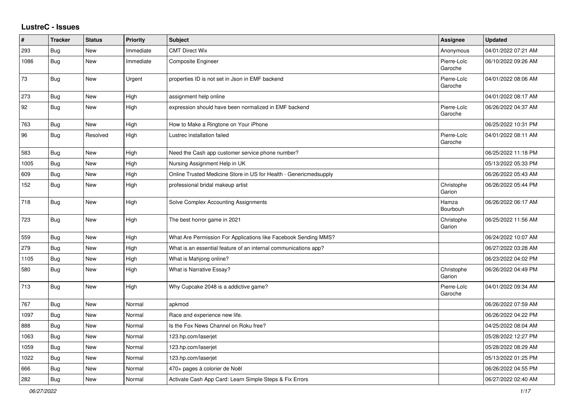## **LustreC - Issues**

| #    | <b>Tracker</b> | <b>Status</b> | <b>Priority</b> | <b>Subject</b>                                                    | Assignee               | <b>Updated</b>      |
|------|----------------|---------------|-----------------|-------------------------------------------------------------------|------------------------|---------------------|
| 293  | <b>Bug</b>     | <b>New</b>    | Immediate       | <b>CMT Direct Wix</b>                                             | Anonymous              | 04/01/2022 07:21 AM |
| 1086 | <b>Bug</b>     | <b>New</b>    | Immediate       | <b>Composite Engineer</b>                                         | Pierre-Loïc<br>Garoche | 06/10/2022 09:26 AM |
| 73   | Bug            | New           | Urgent          | properties ID is not set in Json in EMF backend                   | Pierre-Loïc<br>Garoche | 04/01/2022 08:06 AM |
| 273  | Bug            | <b>New</b>    | High            | assignment help online                                            |                        | 04/01/2022 08:17 AM |
| 92   | Bug            | New           | High            | expression should have been normalized in EMF backend             | Pierre-Loïc<br>Garoche | 06/26/2022 04:37 AM |
| 763  | Bug            | <b>New</b>    | High            | How to Make a Ringtone on Your iPhone                             |                        | 06/25/2022 10:31 PM |
| 96   | <b>Bug</b>     | Resolved      | High            | Lustrec installation failed                                       | Pierre-Loïc<br>Garoche | 04/01/2022 08:11 AM |
| 583  | Bug            | New           | High            | Need the Cash app customer service phone number?                  |                        | 06/25/2022 11:18 PM |
| 1005 | Bug            | <b>New</b>    | High            | Nursing Assignment Help in UK                                     |                        | 05/13/2022 05:33 PM |
| 609  | Bug            | New           | High            | Online Trusted Medicine Store in US for Health - Genericmedsupply |                        | 06/26/2022 05:43 AM |
| 152  | <b>Bug</b>     | <b>New</b>    | High            | professional bridal makeup artist                                 | Christophe<br>Garion   | 06/26/2022 05:44 PM |
| 718  | <b>Bug</b>     | <b>New</b>    | High            | Solve Complex Accounting Assignments                              | Hamza<br>Bourbouh      | 06/26/2022 06:17 AM |
| 723  | Bug            | <b>New</b>    | High            | The best horror game in 2021                                      | Christophe<br>Garion   | 06/25/2022 11:56 AM |
| 559  | <b>Bug</b>     | <b>New</b>    | High            | What Are Permission For Applications like Facebook Sending MMS?   |                        | 06/24/2022 10:07 AM |
| 279  | Bug            | <b>New</b>    | High            | What is an essential feature of an internal communications app?   |                        | 06/27/2022 03:28 AM |
| 1105 | Bug            | New           | High            | What is Mahjong online?                                           |                        | 06/23/2022 04:02 PM |
| 580  | Bug            | New           | High            | <b>What is Narrative Essay?</b>                                   | Christophe<br>Garion   | 06/26/2022 04:49 PM |
| 713  | <b>Bug</b>     | <b>New</b>    | High            | Why Cupcake 2048 is a addictive game?                             | Pierre-Loïc<br>Garoche | 04/01/2022 09:34 AM |
| 767  | Bug            | New           | Normal          | apkmod                                                            |                        | 06/26/2022 07:59 AM |
| 1097 | Bug            | New           | Normal          | Race and experience new life.                                     |                        | 06/26/2022 04:22 PM |
| 888  | Bug            | New           | Normal          | Is the Fox News Channel on Roku free?                             |                        | 04/25/2022 08:04 AM |
| 1063 | Bug            | <b>New</b>    | Normal          | 123.hp.com/laserjet                                               |                        | 05/28/2022 12:27 PM |
| 1059 | Bug            | <b>New</b>    | Normal          | 123.hp.com/laserjet                                               |                        | 05/28/2022 08:29 AM |
| 1022 | Bug            | New           | Normal          | 123.hp.com/laserjet                                               |                        | 05/13/2022 01:25 PM |
| 666  | Bug            | New           | Normal          | 470+ pages à colorier de Noël                                     |                        | 06/26/2022 04:55 PM |
| 282  | Bug            | New           | Normal          | Activate Cash App Card: Learn Simple Steps & Fix Errors           |                        | 06/27/2022 02:40 AM |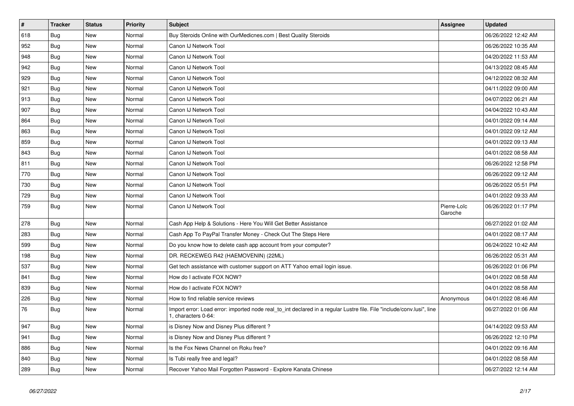| $\vert$ # | <b>Tracker</b> | <b>Status</b> | <b>Priority</b> | <b>Subject</b>                                                                                                                               | <b>Assignee</b>        | <b>Updated</b>      |
|-----------|----------------|---------------|-----------------|----------------------------------------------------------------------------------------------------------------------------------------------|------------------------|---------------------|
| 618       | <b>Bug</b>     | New           | Normal          | Buy Steroids Online with OurMedicnes.com   Best Quality Steroids                                                                             |                        | 06/26/2022 12:42 AM |
| 952       | Bug            | New           | Normal          | Canon IJ Network Tool                                                                                                                        |                        | 06/26/2022 10:35 AM |
| 948       | Bug            | New           | Normal          | Canon IJ Network Tool                                                                                                                        |                        | 04/20/2022 11:53 AM |
| 942       | <b>Bug</b>     | New           | Normal          | Canon IJ Network Tool                                                                                                                        |                        | 04/13/2022 08:45 AM |
| 929       | <b>Bug</b>     | New           | Normal          | Canon IJ Network Tool                                                                                                                        |                        | 04/12/2022 08:32 AM |
| 921       | Bug            | New           | Normal          | Canon IJ Network Tool                                                                                                                        |                        | 04/11/2022 09:00 AM |
| 913       | Bug            | New           | Normal          | Canon IJ Network Tool                                                                                                                        |                        | 04/07/2022 06:21 AM |
| 907       | Bug            | New           | Normal          | Canon IJ Network Tool                                                                                                                        |                        | 04/04/2022 10:43 AM |
| 864       | <b>Bug</b>     | New           | Normal          | Canon IJ Network Tool                                                                                                                        |                        | 04/01/2022 09:14 AM |
| 863       | Bug            | New           | Normal          | Canon IJ Network Tool                                                                                                                        |                        | 04/01/2022 09:12 AM |
| 859       | <b>Bug</b>     | New           | Normal          | Canon IJ Network Tool                                                                                                                        |                        | 04/01/2022 09:13 AM |
| 843       | Bug            | New           | Normal          | Canon IJ Network Tool                                                                                                                        |                        | 04/01/2022 08:58 AM |
| 811       | <b>Bug</b>     | New           | Normal          | Canon IJ Network Tool                                                                                                                        |                        | 06/26/2022 12:58 PM |
| 770       | Bug            | <b>New</b>    | Normal          | Canon IJ Network Tool                                                                                                                        |                        | 06/26/2022 09:12 AM |
| 730       | Bug            | New           | Normal          | Canon IJ Network Tool                                                                                                                        |                        | 06/26/2022 05:51 PM |
| 729       | Bug            | New           | Normal          | Canon IJ Network Tool                                                                                                                        |                        | 04/01/2022 09:33 AM |
| 759       | Bug            | New           | Normal          | Canon IJ Network Tool                                                                                                                        | Pierre-Loïc<br>Garoche | 06/26/2022 01:17 PM |
| 278       | Bug            | New           | Normal          | Cash App Help & Solutions - Here You Will Get Better Assistance                                                                              |                        | 06/27/2022 01:02 AM |
| 283       | <b>Bug</b>     | <b>New</b>    | Normal          | Cash App To PayPal Transfer Money - Check Out The Steps Here                                                                                 |                        | 04/01/2022 08:17 AM |
| 599       | Bug            | <b>New</b>    | Normal          | Do you know how to delete cash app account from your computer?                                                                               |                        | 06/24/2022 10:42 AM |
| 198       | Bug            | New           | Normal          | DR. RECKEWEG R42 (HAEMOVENIN) (22ML)                                                                                                         |                        | 06/26/2022 05:31 AM |
| 537       | Bug            | New           | Normal          | Get tech assistance with customer support on ATT Yahoo email login issue.                                                                    |                        | 06/26/2022 01:06 PM |
| 841       | Bug            | New           | Normal          | How do I activate FOX NOW?                                                                                                                   |                        | 04/01/2022 08:58 AM |
| 839       | Bug            | New           | Normal          | How do I activate FOX NOW?                                                                                                                   |                        | 04/01/2022 08:58 AM |
| 226       | Bug            | New           | Normal          | How to find reliable service reviews                                                                                                         | Anonymous              | 04/01/2022 08:46 AM |
| 76        | Bug            | New           | Normal          | Import error: Load error: imported node real_to_int declared in a regular Lustre file. File "include/conv.lusi", line<br>1, characters 0-64: |                        | 06/27/2022 01:06 AM |
| 947       | <b>Bug</b>     | <b>New</b>    | Normal          | is Disney Now and Disney Plus different?                                                                                                     |                        | 04/14/2022 09:53 AM |
| 941       | Bug            | New           | Normal          | is Disney Now and Disney Plus different?                                                                                                     |                        | 06/26/2022 12:10 PM |
| 886       | Bug            | New           | Normal          | Is the Fox News Channel on Roku free?                                                                                                        |                        | 04/01/2022 09:16 AM |
| 840       | <b>Bug</b>     | <b>New</b>    | Normal          | Is Tubi really free and legal?                                                                                                               |                        | 04/01/2022 08:58 AM |
| 289       | Bug            | <b>New</b>    | Normal          | Recover Yahoo Mail Forgotten Password - Explore Kanata Chinese                                                                               |                        | 06/27/2022 12:14 AM |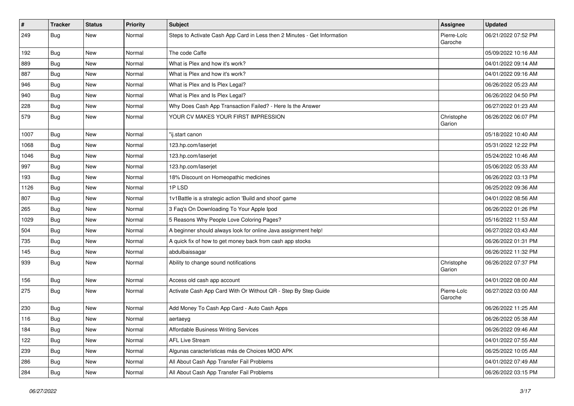| $\sharp$ | <b>Tracker</b> | <b>Status</b> | <b>Priority</b> | <b>Subject</b>                                                           | <b>Assignee</b>        | <b>Updated</b>      |
|----------|----------------|---------------|-----------------|--------------------------------------------------------------------------|------------------------|---------------------|
| 249      | Bug            | <b>New</b>    | Normal          | Steps to Activate Cash App Card in Less then 2 Minutes - Get Information | Pierre-Loïc<br>Garoche | 06/21/2022 07:52 PM |
| 192      | Bug            | <b>New</b>    | Normal          | The code Caffe                                                           |                        | 05/09/2022 10:16 AM |
| 889      | Bug            | <b>New</b>    | Normal          | What is Plex and how it's work?                                          |                        | 04/01/2022 09:14 AM |
| 887      | Bug            | <b>New</b>    | Normal          | What is Plex and how it's work?                                          |                        | 04/01/2022 09:16 AM |
| 946      | Bug            | New           | Normal          | What is Plex and Is Plex Legal?                                          |                        | 06/26/2022 05:23 AM |
| 940      | Bug            | New           | Normal          | What is Plex and Is Plex Legal?                                          |                        | 06/26/2022 04:50 PM |
| 228      | Bug            | <b>New</b>    | Normal          | Why Does Cash App Transaction Failed? - Here Is the Answer               |                        | 06/27/2022 01:23 AM |
| 579      | Bug            | <b>New</b>    | Normal          | YOUR CV MAKES YOUR FIRST IMPRESSION                                      | Christophe<br>Garion   | 06/26/2022 06:07 PM |
| 1007     | Bug            | <b>New</b>    | Normal          | "ij.start canon                                                          |                        | 05/18/2022 10:40 AM |
| 1068     | Bug            | <b>New</b>    | Normal          | 123.hp.com/laserjet                                                      |                        | 05/31/2022 12:22 PM |
| 1046     | Bug            | <b>New</b>    | Normal          | 123.hp.com/laserjet                                                      |                        | 05/24/2022 10:46 AM |
| 997      | Bug            | New           | Normal          | 123.hp.com/laserjet                                                      |                        | 05/06/2022 05:33 AM |
| 193      | Bug            | <b>New</b>    | Normal          | 18% Discount on Homeopathic medicines                                    |                        | 06/26/2022 03:13 PM |
| 1126     | Bug            | New           | Normal          | 1PLSD                                                                    |                        | 06/25/2022 09:36 AM |
| 807      | Bug            | <b>New</b>    | Normal          | 1v1Battle is a strategic action 'Build and shoot' game                   |                        | 04/01/2022 08:56 AM |
| 265      | Bug            | <b>New</b>    | Normal          | 3 Faq's On Downloading To Your Apple Ipod                                |                        | 06/26/2022 01:26 PM |
| 1029     | Bug            | New           | Normal          | 5 Reasons Why People Love Coloring Pages?                                |                        | 05/16/2022 11:53 AM |
| 504      | Bug            | <b>New</b>    | Normal          | A beginner should always look for online Java assignment help!           |                        | 06/27/2022 03:43 AM |
| 735      | <b>Bug</b>     | <b>New</b>    | Normal          | A quick fix of how to get money back from cash app stocks                |                        | 06/26/2022 01:31 PM |
| 145      | Bug            | <b>New</b>    | Normal          | abdulbaissagar                                                           |                        | 06/26/2022 11:32 PM |
| 939      | Bug            | <b>New</b>    | Normal          | Ability to change sound notifications                                    | Christophe<br>Garion   | 06/26/2022 07:37 PM |
| 156      | Bug            | <b>New</b>    | Normal          | Access old cash app account                                              |                        | 04/01/2022 08:00 AM |
| 275      | Bug            | <b>New</b>    | Normal          | Activate Cash App Card With Or Without QR - Step By Step Guide           | Pierre-Loïc<br>Garoche | 06/27/2022 03:00 AM |
| 230      | Bug            | <b>New</b>    | Normal          | Add Money To Cash App Card - Auto Cash Apps                              |                        | 06/26/2022 11:25 AM |
| 116      | Bug            | New           | Normal          | aertaeyg                                                                 |                        | 06/26/2022 05:38 AM |
| 184      | <b>Bug</b>     | New           | Normal          | Affordable Business Writing Services                                     |                        | 06/26/2022 09:46 AM |
| 122      | Bug            | <b>New</b>    | Normal          | <b>AFL Live Stream</b>                                                   |                        | 04/01/2022 07:55 AM |
| 239      | <b>Bug</b>     | New           | Normal          | Algunas características más de Choices MOD APK                           |                        | 06/25/2022 10:05 AM |
| 286      | <b>Bug</b>     | New           | Normal          | All About Cash App Transfer Fail Problems                                |                        | 04/01/2022 07:49 AM |
| 284      | <b>Bug</b>     | New           | Normal          | All About Cash App Transfer Fail Problems                                |                        | 06/26/2022 03:15 PM |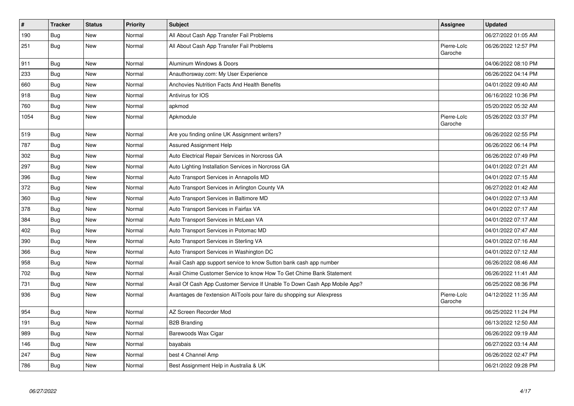| $\vert$ # | <b>Tracker</b> | <b>Status</b> | <b>Priority</b> | <b>Subject</b>                                                            | Assignee               | <b>Updated</b>      |
|-----------|----------------|---------------|-----------------|---------------------------------------------------------------------------|------------------------|---------------------|
| 190       | <b>Bug</b>     | <b>New</b>    | Normal          | All About Cash App Transfer Fail Problems                                 |                        | 06/27/2022 01:05 AM |
| 251       | <b>Bug</b>     | <b>New</b>    | Normal          | All About Cash App Transfer Fail Problems                                 | Pierre-Loïc<br>Garoche | 06/26/2022 12:57 PM |
| 911       | Bug            | New           | Normal          | Aluminum Windows & Doors                                                  |                        | 04/06/2022 08:10 PM |
| 233       | <b>Bug</b>     | New           | Normal          | Anauthorsway.com: My User Experience                                      |                        | 06/26/2022 04:14 PM |
| 660       | Bug            | New           | Normal          | Anchovies Nutrition Facts And Health Benefits                             |                        | 04/01/2022 09:40 AM |
| 918       | <b>Bug</b>     | New           | Normal          | Antivirus for IOS                                                         |                        | 06/16/2022 10:36 PM |
| 760       | Bug            | New           | Normal          | apkmod                                                                    |                        | 05/20/2022 05:32 AM |
| 1054      | <b>Bug</b>     | New           | Normal          | Apkmodule                                                                 | Pierre-Loïc<br>Garoche | 05/26/2022 03:37 PM |
| 519       | Bug            | <b>New</b>    | Normal          | Are you finding online UK Assignment writers?                             |                        | 06/26/2022 02:55 PM |
| 787       | Bug            | <b>New</b>    | Normal          | <b>Assured Assignment Help</b>                                            |                        | 06/26/2022 06:14 PM |
| 302       | <b>Bug</b>     | <b>New</b>    | Normal          | Auto Electrical Repair Services in Norcross GA                            |                        | 06/26/2022 07:49 PM |
| 297       | Bug            | <b>New</b>    | Normal          | Auto Lighting Installation Services in Norcross GA                        |                        | 04/01/2022 07:21 AM |
| 396       | Bug            | New           | Normal          | Auto Transport Services in Annapolis MD                                   |                        | 04/01/2022 07:15 AM |
| 372       | Bug            | New           | Normal          | Auto Transport Services in Arlington County VA                            |                        | 06/27/2022 01:42 AM |
| 360       | <b>Bug</b>     | New           | Normal          | Auto Transport Services in Baltimore MD                                   |                        | 04/01/2022 07:13 AM |
| 378       | Bug            | New           | Normal          | Auto Transport Services in Fairfax VA                                     |                        | 04/01/2022 07:17 AM |
| 384       | <b>Bug</b>     | New           | Normal          | Auto Transport Services in McLean VA                                      |                        | 04/01/2022 07:17 AM |
| 402       | Bug            | New           | Normal          | Auto Transport Services in Potomac MD                                     |                        | 04/01/2022 07:47 AM |
| 390       | Bug            | New           | Normal          | Auto Transport Services in Sterling VA                                    |                        | 04/01/2022 07:16 AM |
| 366       | Bug            | New           | Normal          | Auto Transport Services in Washington DC                                  |                        | 04/01/2022 07:12 AM |
| 958       | <b>Bug</b>     | New           | Normal          | Avail Cash app support service to know Sutton bank cash app number        |                        | 06/26/2022 08:46 AM |
| 702       | Bug            | New           | Normal          | Avail Chime Customer Service to know How To Get Chime Bank Statement      |                        | 06/26/2022 11:41 AM |
| 731       | <b>Bug</b>     | New           | Normal          | Avail Of Cash App Customer Service If Unable To Down Cash App Mobile App? |                        | 06/25/2022 08:36 PM |
| 936       | Bug            | <b>New</b>    | Normal          | Avantages de l'extension AliTools pour faire du shopping sur Aliexpress   | Pierre-Loïc<br>Garoche | 04/12/2022 11:35 AM |
| 954       | Bug            | <b>New</b>    | Normal          | AZ Screen Recorder Mod                                                    |                        | 06/25/2022 11:24 PM |
| 191       | Bug            | <b>New</b>    | Normal          | <b>B2B Branding</b>                                                       |                        | 06/13/2022 12:50 AM |
| 989       | Bug            | <b>New</b>    | Normal          | Barewoods Wax Cigar                                                       |                        | 06/26/2022 09:19 AM |
| 146       | <b>Bug</b>     | New           | Normal          | bayabais                                                                  |                        | 06/27/2022 03:14 AM |
| 247       | Bug            | <b>New</b>    | Normal          | best 4 Channel Amp                                                        |                        | 06/26/2022 02:47 PM |
| 786       | Bug            | New           | Normal          | Best Assignment Help in Australia & UK                                    |                        | 06/21/2022 09:28 PM |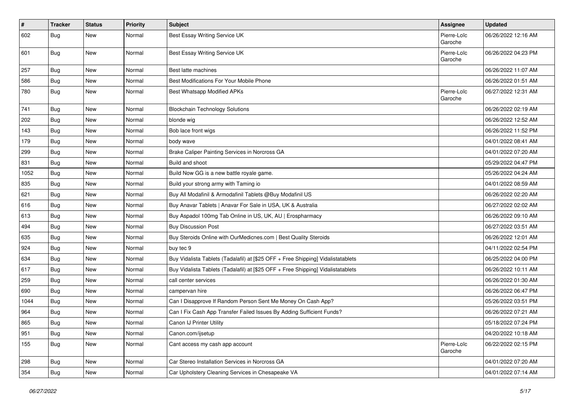| #    | <b>Tracker</b> | <b>Status</b> | <b>Priority</b> | <b>Subject</b>                                                                   | Assignee               | <b>Updated</b>      |
|------|----------------|---------------|-----------------|----------------------------------------------------------------------------------|------------------------|---------------------|
| 602  | Bug            | New           | Normal          | Best Essay Writing Service UK                                                    | Pierre-Loïc<br>Garoche | 06/26/2022 12:16 AM |
| 601  | Bug            | <b>New</b>    | Normal          | Best Essay Writing Service UK                                                    | Pierre-Loïc<br>Garoche | 06/26/2022 04:23 PM |
| 257  | Bug            | New           | Normal          | Best latte machines                                                              |                        | 06/26/2022 11:07 AM |
| 586  | Bug            | New           | Normal          | Best Modifications For Your Mobile Phone                                         |                        | 06/26/2022 01:51 AM |
| 780  | Bug            | <b>New</b>    | Normal          | Best Whatsapp Modified APKs                                                      | Pierre-Loïc<br>Garoche | 06/27/2022 12:31 AM |
| 741  | Bug            | <b>New</b>    | Normal          | <b>Blockchain Technology Solutions</b>                                           |                        | 06/26/2022 02:19 AM |
| 202  | Bug            | <b>New</b>    | Normal          | blonde wig                                                                       |                        | 06/26/2022 12:52 AM |
| 143  | Bug            | New           | Normal          | Bob lace front wigs                                                              |                        | 06/26/2022 11:52 PM |
| 179  | Bug            | New           | Normal          | body wave                                                                        |                        | 04/01/2022 08:41 AM |
| 299  | Bug            | <b>New</b>    | Normal          | Brake Caliper Painting Services in Norcross GA                                   |                        | 04/01/2022 07:20 AM |
| 831  | Bug            | <b>New</b>    | Normal          | Build and shoot                                                                  |                        | 05/29/2022 04:47 PM |
| 1052 | Bug            | <b>New</b>    | Normal          | Build Now GG is a new battle royale game.                                        |                        | 05/26/2022 04:24 AM |
| 835  | Bug            | New           | Normal          | Build your strong army with Taming io                                            |                        | 04/01/2022 08:59 AM |
| 621  | Bug            | New           | Normal          | Buy All Modafinil & Armodafinil Tablets @Buy Modafinil US                        |                        | 06/26/2022 02:20 AM |
| 616  | Bug            | <b>New</b>    | Normal          | Buy Anavar Tablets   Anavar For Sale in USA, UK & Australia                      |                        | 06/27/2022 02:02 AM |
| 613  | Bug            | New           | Normal          | Buy Aspadol 100mg Tab Online in US, UK, AU   Erospharmacy                        |                        | 06/26/2022 09:10 AM |
| 494  | Bug            | New           | Normal          | <b>Buy Discussion Post</b>                                                       |                        | 06/27/2022 03:51 AM |
| 635  | Bug            | New           | Normal          | Buy Steroids Online with OurMedicnes.com   Best Quality Steroids                 |                        | 06/26/2022 12:01 AM |
| 924  | Bug            | <b>New</b>    | Normal          | buy tec 9                                                                        |                        | 04/11/2022 02:54 PM |
| 634  | Bug            | <b>New</b>    | Normal          | Buy Vidalista Tablets (Tadalafil) at [\$25 OFF + Free Shipping] Vidalistatablets |                        | 06/25/2022 04:00 PM |
| 617  | Bug            | New           | Normal          | Buy Vidalista Tablets (Tadalafil) at [\$25 OFF + Free Shipping] Vidalistatablets |                        | 06/26/2022 10:11 AM |
| 259  | Bug            | <b>New</b>    | Normal          | call center services                                                             |                        | 06/26/2022 01:30 AM |
| 690  | <b>Bug</b>     | New           | Normal          | campervan hire                                                                   |                        | 06/26/2022 06:47 PM |
| 1044 | Bug            | <b>New</b>    | Normal          | Can I Disapprove If Random Person Sent Me Money On Cash App?                     |                        | 05/26/2022 03:51 PM |
| 964  | Bug            | <b>New</b>    | Normal          | Can I Fix Cash App Transfer Failed Issues By Adding Sufficient Funds?            |                        | 06/26/2022 07:21 AM |
| 865  | Bug            | New           | Normal          | Canon IJ Printer Utility                                                         |                        | 05/18/2022 07:24 PM |
| 951  | Bug            | New           | Normal          | Canon.com/ijsetup                                                                |                        | 04/20/2022 10:18 AM |
| 155  | Bug            | New           | Normal          | Cant access my cash app account                                                  | Pierre-Loïc<br>Garoche | 06/22/2022 02:15 PM |
| 298  | Bug            | New           | Normal          | Car Stereo Installation Services in Norcross GA                                  |                        | 04/01/2022 07:20 AM |
| 354  | <b>Bug</b>     | New           | Normal          | Car Upholstery Cleaning Services in Chesapeake VA                                |                        | 04/01/2022 07:14 AM |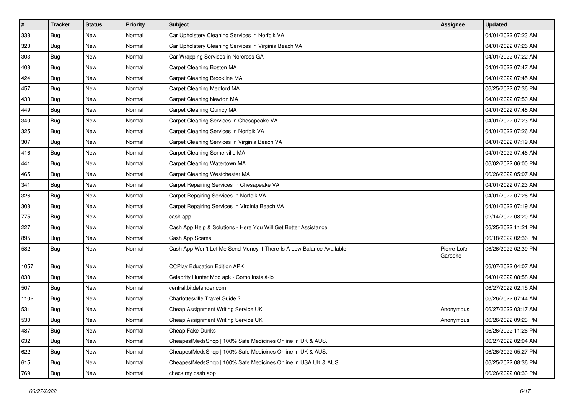| #    | <b>Tracker</b> | <b>Status</b> | <b>Priority</b> | <b>Subject</b>                                                       | <b>Assignee</b>        | <b>Updated</b>      |
|------|----------------|---------------|-----------------|----------------------------------------------------------------------|------------------------|---------------------|
| 338  | Bug            | <b>New</b>    | Normal          | Car Upholstery Cleaning Services in Norfolk VA                       |                        | 04/01/2022 07:23 AM |
| 323  | Bug            | <b>New</b>    | Normal          | Car Upholstery Cleaning Services in Virginia Beach VA                |                        | 04/01/2022 07:26 AM |
| 303  | Bug            | New           | Normal          | Car Wrapping Services in Norcross GA                                 |                        | 04/01/2022 07:22 AM |
| 408  | Bug            | New           | Normal          | Carpet Cleaning Boston MA                                            |                        | 04/01/2022 07:47 AM |
| 424  | <b>Bug</b>     | <b>New</b>    | Normal          | Carpet Cleaning Brookline MA                                         |                        | 04/01/2022 07:45 AM |
| 457  | <b>Bug</b>     | <b>New</b>    | Normal          | Carpet Cleaning Medford MA                                           |                        | 06/25/2022 07:36 PM |
| 433  | Bug            | <b>New</b>    | Normal          | Carpet Cleaning Newton MA                                            |                        | 04/01/2022 07:50 AM |
| 449  | <b>Bug</b>     | New           | Normal          | Carpet Cleaning Quincy MA                                            |                        | 04/01/2022 07:48 AM |
| 340  | <b>Bug</b>     | New           | Normal          | Carpet Cleaning Services in Chesapeake VA                            |                        | 04/01/2022 07:23 AM |
| 325  | Bug            | <b>New</b>    | Normal          | Carpet Cleaning Services in Norfolk VA                               |                        | 04/01/2022 07:26 AM |
| 307  | <b>Bug</b>     | New           | Normal          | Carpet Cleaning Services in Virginia Beach VA                        |                        | 04/01/2022 07:19 AM |
| 416  | Bug            | <b>New</b>    | Normal          | Carpet Cleaning Somerville MA                                        |                        | 04/01/2022 07:46 AM |
| 441  | <b>Bug</b>     | New           | Normal          | Carpet Cleaning Watertown MA                                         |                        | 06/02/2022 06:00 PM |
| 465  | Bug            | <b>New</b>    | Normal          | Carpet Cleaning Westchester MA                                       |                        | 06/26/2022 05:07 AM |
| 341  | <b>Bug</b>     | <b>New</b>    | Normal          | Carpet Repairing Services in Chesapeake VA                           |                        | 04/01/2022 07:23 AM |
| 326  | Bug            | New           | Normal          | Carpet Repairing Services in Norfolk VA                              |                        | 04/01/2022 07:26 AM |
| 308  | Bug            | <b>New</b>    | Normal          | Carpet Repairing Services in Virginia Beach VA                       |                        | 04/01/2022 07:19 AM |
| 775  | <b>Bug</b>     | New           | Normal          | cash app                                                             |                        | 02/14/2022 08:20 AM |
| 227  | Bug            | <b>New</b>    | Normal          | Cash App Help & Solutions - Here You Will Get Better Assistance      |                        | 06/25/2022 11:21 PM |
| 895  | Bug            | <b>New</b>    | Normal          | Cash App Scams                                                       |                        | 06/18/2022 02:36 PM |
| 582  | <b>Bug</b>     | New           | Normal          | Cash App Won't Let Me Send Money If There Is A Low Balance Available | Pierre-Loïc<br>Garoche | 06/26/2022 02:39 PM |
| 1057 | Bug            | New           | Normal          | <b>CCPlay Education Edition APK</b>                                  |                        | 06/07/2022 04:07 AM |
| 838  | <b>Bug</b>     | New           | Normal          | Celebrity Hunter Mod apk - Como instalá-lo                           |                        | 04/01/2022 08:58 AM |
| 507  | Bug            | <b>New</b>    | Normal          | central.bitdefender.com                                              |                        | 06/27/2022 02:15 AM |
| 1102 | <b>Bug</b>     | New           | Normal          | Charlottesville Travel Guide?                                        |                        | 06/26/2022 07:44 AM |
| 531  | <b>Bug</b>     | <b>New</b>    | Normal          | Cheap Assignment Writing Service UK                                  | Anonymous              | 06/27/2022 03:17 AM |
| 530  | <b>Bug</b>     | <b>New</b>    | Normal          | Cheap Assignment Writing Service UK                                  | Anonymous              | 06/26/2022 09:23 PM |
| 487  | Bug            | New           | Normal          | Cheap Fake Dunks                                                     |                        | 06/26/2022 11:26 PM |
| 632  | Bug            | New           | Normal          | CheapestMedsShop   100% Safe Medicines Online in UK & AUS.           |                        | 06/27/2022 02:04 AM |
| 622  | Bug            | New           | Normal          | CheapestMedsShop   100% Safe Medicines Online in UK & AUS.           |                        | 06/26/2022 05:27 PM |
| 615  | Bug            | New           | Normal          | CheapestMedsShop   100% Safe Medicines Online in USA UK & AUS.       |                        | 06/25/2022 08:36 PM |
| 769  | <b>Bug</b>     | New           | Normal          | check my cash app                                                    |                        | 06/26/2022 08:33 PM |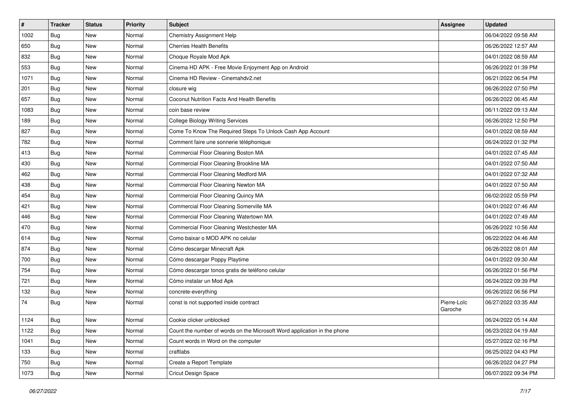| $\sharp$ | <b>Tracker</b> | <b>Status</b> | <b>Priority</b> | Subject                                                                  | <b>Assignee</b>        | <b>Updated</b>      |
|----------|----------------|---------------|-----------------|--------------------------------------------------------------------------|------------------------|---------------------|
| 1002     | Bug            | New           | Normal          | Chemistry Assignment Help                                                |                        | 06/04/2022 09:58 AM |
| 650      | Bug            | <b>New</b>    | Normal          | <b>Cherries Health Benefits</b>                                          |                        | 06/26/2022 12:57 AM |
| 832      | Bug            | New           | Normal          | Choque Royale Mod Apk                                                    |                        | 04/01/2022 08:59 AM |
| 553      | Bug            | New           | Normal          | Cinema HD APK - Free Movie Enjoyment App on Android                      |                        | 06/26/2022 01:39 PM |
| 1071     | Bug            | <b>New</b>    | Normal          | Cinema HD Review - Cinemahdy2.net                                        |                        | 06/21/2022 06:54 PM |
| 201      | Bug            | New           | Normal          | closure wig                                                              |                        | 06/26/2022 07:50 PM |
| 657      | Bug            | <b>New</b>    | Normal          | <b>Coconut Nutrition Facts And Health Benefits</b>                       |                        | 06/26/2022 06:45 AM |
| 1083     | Bug            | New           | Normal          | coin base review                                                         |                        | 06/11/2022 09:13 AM |
| 189      | Bug            | <b>New</b>    | Normal          | <b>College Biology Writing Services</b>                                  |                        | 06/26/2022 12:50 PM |
| 827      | Bug            | <b>New</b>    | Normal          | Come To Know The Required Steps To Unlock Cash App Account               |                        | 04/01/2022 08:59 AM |
| 782      | Bug            | New           | Normal          | Comment faire une sonnerie téléphonique                                  |                        | 06/24/2022 01:32 PM |
| 413      | Bug            | New           | Normal          | Commercial Floor Cleaning Boston MA                                      |                        | 04/01/2022 07:45 AM |
| 430      | Bug            | New           | Normal          | Commercial Floor Cleaning Brookline MA                                   |                        | 04/01/2022 07:50 AM |
| 462      | Bug            | <b>New</b>    | Normal          | Commercial Floor Cleaning Medford MA                                     |                        | 04/01/2022 07:32 AM |
| 438      | Bug            | <b>New</b>    | Normal          | Commercial Floor Cleaning Newton MA                                      |                        | 04/01/2022 07:50 AM |
| 454      | Bug            | New           | Normal          | Commercial Floor Cleaning Quincy MA                                      |                        | 06/02/2022 05:59 PM |
| 421      | Bug            | New           | Normal          | Commercial Floor Cleaning Somerville MA                                  |                        | 04/01/2022 07:46 AM |
| 446      | Bug            | <b>New</b>    | Normal          | Commercial Floor Cleaning Watertown MA                                   |                        | 04/01/2022 07:49 AM |
| 470      | Bug            | <b>New</b>    | Normal          | Commercial Floor Cleaning Westchester MA                                 |                        | 06/26/2022 10:56 AM |
| 614      | <b>Bug</b>     | <b>New</b>    | Normal          | Como baixar o MOD APK no celular                                         |                        | 06/22/2022 04:46 AM |
| 874      | Bug            | New           | Normal          | Cómo descargar Minecraft Apk                                             |                        | 06/26/2022 08:01 AM |
| 700      | Bug            | <b>New</b>    | Normal          | Cómo descargar Poppy Playtime                                            |                        | 04/01/2022 09:30 AM |
| 754      | Bug            | <b>New</b>    | Normal          | Cómo descargar tonos gratis de teléfono celular                          |                        | 06/26/2022 01:56 PM |
| 721      | Bug            | New           | Normal          | Cómo instalar un Mod Apk                                                 |                        | 06/24/2022 09:39 PM |
| 132      | Bug            | New           | Normal          | concrete-everything                                                      |                        | 06/26/2022 06:56 PM |
| 74       | Bug            | New           | Normal          | const is not supported inside contract                                   | Pierre-Loïc<br>Garoche | 06/27/2022 03:35 AM |
| 1124     | <b>Bug</b>     | New           | Normal          | Cookie clicker unblocked                                                 |                        | 06/24/2022 05:14 AM |
| 1122     | <b>Bug</b>     | New           | Normal          | Count the number of words on the Microsoft Word application in the phone |                        | 06/23/2022 04:19 AM |
| 1041     | Bug            | New           | Normal          | Count words in Word on the computer                                      |                        | 05/27/2022 02:16 PM |
| 133      | Bug            | New           | Normal          | craftlabs                                                                |                        | 06/25/2022 04:43 PM |
| 750      | <b>Bug</b>     | New           | Normal          | Create a Report Template                                                 |                        | 06/26/2022 04:27 PM |
| 1073     | <b>Bug</b>     | New           | Normal          | Cricut Design Space                                                      |                        | 06/07/2022 09:34 PM |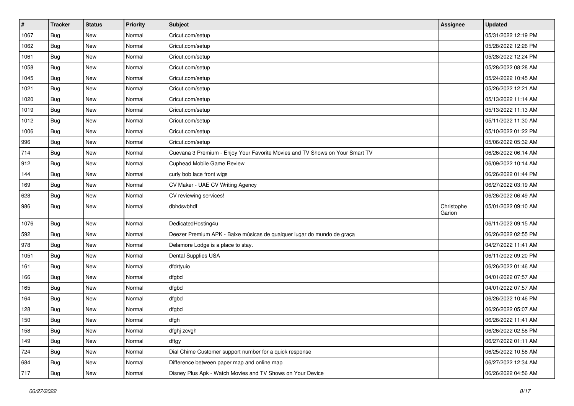| $\vert$ # | <b>Tracker</b> | <b>Status</b> | <b>Priority</b> | Subject                                                                      | <b>Assignee</b>      | <b>Updated</b>      |
|-----------|----------------|---------------|-----------------|------------------------------------------------------------------------------|----------------------|---------------------|
| 1067      | Bug            | New           | Normal          | Cricut.com/setup                                                             |                      | 05/31/2022 12:19 PM |
| 1062      | Bug            | <b>New</b>    | Normal          | Cricut.com/setup                                                             |                      | 05/28/2022 12:26 PM |
| 1061      | Bug            | New           | Normal          | Cricut.com/setup                                                             |                      | 05/28/2022 12:24 PM |
| 1058      | Bug            | <b>New</b>    | Normal          | Cricut.com/setup                                                             |                      | 05/28/2022 08:28 AM |
| 1045      | Bug            | New           | Normal          | Cricut.com/setup                                                             |                      | 05/24/2022 10:45 AM |
| 1021      | Bug            | <b>New</b>    | Normal          | Cricut.com/setup                                                             |                      | 05/26/2022 12:21 AM |
| 1020      | Bug            | <b>New</b>    | Normal          | Cricut.com/setup                                                             |                      | 05/13/2022 11:14 AM |
| 1019      | Bug            | New           | Normal          | Cricut.com/setup                                                             |                      | 05/13/2022 11:13 AM |
| 1012      | Bug            | <b>New</b>    | Normal          | Cricut.com/setup                                                             |                      | 05/11/2022 11:30 AM |
| 1006      | Bug            | New           | Normal          | Cricut.com/setup                                                             |                      | 05/10/2022 01:22 PM |
| 996       | Bug            | <b>New</b>    | Normal          | Cricut.com/setup                                                             |                      | 05/06/2022 05:32 AM |
| 714       | Bug            | <b>New</b>    | Normal          | Cuevana 3 Premium - Enjoy Your Favorite Movies and TV Shows on Your Smart TV |                      | 06/26/2022 06:14 AM |
| 912       | Bug            | <b>New</b>    | Normal          | Cuphead Mobile Game Review                                                   |                      | 06/09/2022 10:14 AM |
| 144       | Bug            | <b>New</b>    | Normal          | curly bob lace front wigs                                                    |                      | 06/26/2022 01:44 PM |
| 169       | Bug            | <b>New</b>    | Normal          | CV Maker - UAE CV Writing Agency                                             |                      | 06/27/2022 03:19 AM |
| 628       | Bug            | <b>New</b>    | Normal          | CV reviewing services!                                                       |                      | 06/26/2022 06:49 AM |
| 986       | <b>Bug</b>     | New           | Normal          | dbhdsvbhdf                                                                   | Christophe<br>Garion | 05/01/2022 09:10 AM |
| 1076      | Bug            | <b>New</b>    | Normal          | DedicatedHosting4u                                                           |                      | 06/11/2022 09:15 AM |
| 592       | Bug            | <b>New</b>    | Normal          | Deezer Premium APK - Baixe músicas de qualquer lugar do mundo de graça       |                      | 06/26/2022 02:55 PM |
| 978       | <b>Bug</b>     | <b>New</b>    | Normal          | Delamore Lodge is a place to stay.                                           |                      | 04/27/2022 11:41 AM |
| 1051      | Bug            | <b>New</b>    | Normal          | Dental Supplies USA                                                          |                      | 06/11/2022 09:20 PM |
| 161       | Bug            | <b>New</b>    | Normal          | dfdrtyuio                                                                    |                      | 06/26/2022 01:46 AM |
| 166       | Bug            | New           | Normal          | dfgbd                                                                        |                      | 04/01/2022 07:57 AM |
| 165       | Bug            | <b>New</b>    | Normal          | dfgbd                                                                        |                      | 04/01/2022 07:57 AM |
| 164       | Bug            | <b>New</b>    | Normal          | dfgbd                                                                        |                      | 06/26/2022 10:46 PM |
| 128       | Bug            | New           | Normal          | dfgbd                                                                        |                      | 06/26/2022 05:07 AM |
| 150       | <b>Bug</b>     | <b>New</b>    | Normal          | dfgh                                                                         |                      | 06/26/2022 11:41 AM |
| 158       | <b>Bug</b>     | New           | Normal          | dfghj zcvgh                                                                  |                      | 06/26/2022 02:58 PM |
| 149       | Bug            | New           | Normal          | dftgy                                                                        |                      | 06/27/2022 01:11 AM |
| 724       | Bug            | New           | Normal          | Dial Chime Customer support number for a quick response                      |                      | 06/25/2022 10:58 AM |
| 684       | <b>Bug</b>     | New           | Normal          | Difference between paper map and online map                                  |                      | 06/27/2022 12:34 AM |
| 717       | <b>Bug</b>     | New           | Normal          | Disney Plus Apk - Watch Movies and TV Shows on Your Device                   |                      | 06/26/2022 04:56 AM |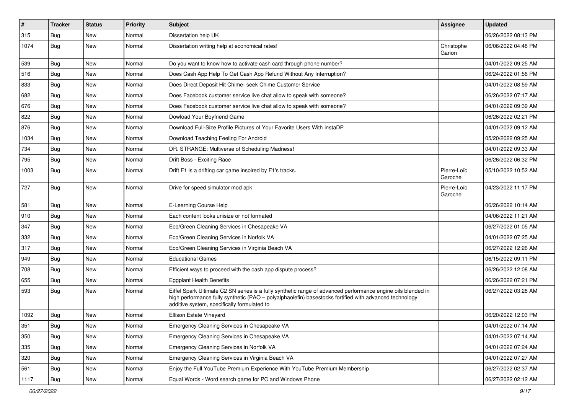| $\sharp$ | <b>Tracker</b> | <b>Status</b> | <b>Priority</b> | Subject                                                                                                                                                                                                                                                               | Assignee               | <b>Updated</b>      |
|----------|----------------|---------------|-----------------|-----------------------------------------------------------------------------------------------------------------------------------------------------------------------------------------------------------------------------------------------------------------------|------------------------|---------------------|
| 315      | Bug            | New           | Normal          | Dissertation help UK                                                                                                                                                                                                                                                  |                        | 06/26/2022 08:13 PM |
| 1074     | Bug            | New           | Normal          | Dissertation writing help at economical rates!                                                                                                                                                                                                                        | Christophe<br>Garion   | 06/06/2022 04:48 PM |
| 539      | <b>Bug</b>     | New           | Normal          | Do you want to know how to activate cash card through phone number?                                                                                                                                                                                                   |                        | 04/01/2022 09:25 AM |
| 516      | Bug            | New           | Normal          | Does Cash App Help To Get Cash App Refund Without Any Interruption?                                                                                                                                                                                                   |                        | 06/24/2022 01:56 PM |
| 833      | <b>Bug</b>     | New           | Normal          | Does Direct Deposit Hit Chime- seek Chime Customer Service                                                                                                                                                                                                            |                        | 04/01/2022 08:59 AM |
| 682      | <b>Bug</b>     | New           | Normal          | Does Facebook customer service live chat allow to speak with someone?                                                                                                                                                                                                 |                        | 06/26/2022 07:17 AM |
| 676      | Bug            | New           | Normal          | Does Facebook customer service live chat allow to speak with someone?                                                                                                                                                                                                 |                        | 04/01/2022 09:39 AM |
| 822      | <b>Bug</b>     | New           | Normal          | Dowload Your Boyfriend Game                                                                                                                                                                                                                                           |                        | 06/26/2022 02:21 PM |
| 876      | <b>Bug</b>     | New           | Normal          | Download Full-Size Profile Pictures of Your Favorite Users With InstaDP                                                                                                                                                                                               |                        | 04/01/2022 09:12 AM |
| 1034     | Bug            | New           | Normal          | Download Teaching Feeling For Android                                                                                                                                                                                                                                 |                        | 05/20/2022 09:25 AM |
| 734      | Bug            | New           | Normal          | DR. STRANGE: Multiverse of Scheduling Madness!                                                                                                                                                                                                                        |                        | 04/01/2022 09:33 AM |
| 795      | Bug            | New           | Normal          | Drift Boss - Exciting Race                                                                                                                                                                                                                                            |                        | 06/26/2022 06:32 PM |
| 1003     | Bug            | New           | Normal          | Drift F1 is a drifting car game inspired by F1's tracks.                                                                                                                                                                                                              | Pierre-Loïc<br>Garoche | 05/10/2022 10:52 AM |
| 727      | Bug            | New           | Normal          | Drive for speed simulator mod apk                                                                                                                                                                                                                                     | Pierre-Loïc<br>Garoche | 04/23/2022 11:17 PM |
| 581      | Bug            | New           | Normal          | E-Learning Course Help                                                                                                                                                                                                                                                |                        | 06/26/2022 10:14 AM |
| 910      | Bug            | New           | Normal          | Each content looks unisize or not formated                                                                                                                                                                                                                            |                        | 04/06/2022 11:21 AM |
| 347      | Bug            | New           | Normal          | Eco/Green Cleaning Services in Chesapeake VA                                                                                                                                                                                                                          |                        | 06/27/2022 01:05 AM |
| 332      | Bug            | New           | Normal          | Eco/Green Cleaning Services in Norfolk VA                                                                                                                                                                                                                             |                        | 04/01/2022 07:25 AM |
| 317      | <b>Bug</b>     | New           | Normal          | Eco/Green Cleaning Services in Virginia Beach VA                                                                                                                                                                                                                      |                        | 06/27/2022 12:26 AM |
| 949      | <b>Bug</b>     | New           | Normal          | <b>Educational Games</b>                                                                                                                                                                                                                                              |                        | 06/15/2022 09:11 PM |
| 708      | Bug            | New           | Normal          | Efficient ways to proceed with the cash app dispute process?                                                                                                                                                                                                          |                        | 06/26/2022 12:08 AM |
| 655      | <b>Bug</b>     | New           | Normal          | <b>Eggplant Health Benefits</b>                                                                                                                                                                                                                                       |                        | 06/26/2022 07:21 PM |
| 593      | Bug            | New           | Normal          | Eiffel Spark Ultimate C2 SN series is a fully synthetic range of advanced performance engine oils blended in<br>high performance fully synthetic (PAO - polyalphaolefin) basestocks fortified with advanced technology<br>additive system, specifically formulated to |                        | 06/27/2022 03:28 AM |
| 1092     | Bug            | New           | Normal          | Ellison Estate Vineyard                                                                                                                                                                                                                                               |                        | 06/20/2022 12:03 PM |
| 351      | Bug            | New           | Normal          | Emergency Cleaning Services in Chesapeake VA                                                                                                                                                                                                                          |                        | 04/01/2022 07:14 AM |
| 350      | Bug            | New           | Normal          | Emergency Cleaning Services in Chesapeake VA                                                                                                                                                                                                                          |                        | 04/01/2022 07:14 AM |
| 335      | Bug            | New           | Normal          | Emergency Cleaning Services in Norfolk VA                                                                                                                                                                                                                             |                        | 04/01/2022 07:24 AM |
| 320      | Bug            | New           | Normal          | Emergency Cleaning Services in Virginia Beach VA                                                                                                                                                                                                                      |                        | 04/01/2022 07:27 AM |
| 561      | Bug            | New           | Normal          | Enjoy the Full YouTube Premium Experience With YouTube Premium Membership                                                                                                                                                                                             |                        | 06/27/2022 02:37 AM |
| 1117     | Bug            | New           | Normal          | Equal Words - Word search game for PC and Windows Phone                                                                                                                                                                                                               |                        | 06/27/2022 02:12 AM |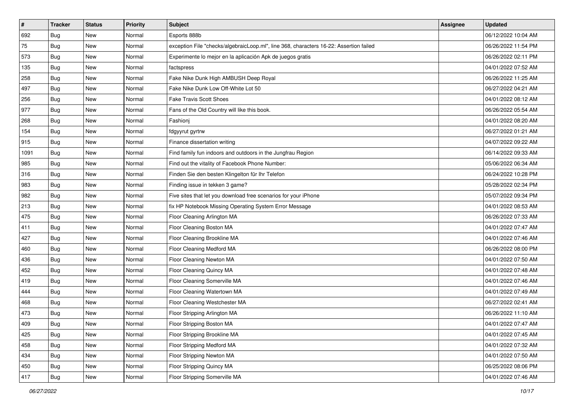| $\sharp$ | <b>Tracker</b> | <b>Status</b> | <b>Priority</b> | Subject                                                                                | <b>Assignee</b> | <b>Updated</b>      |
|----------|----------------|---------------|-----------------|----------------------------------------------------------------------------------------|-----------------|---------------------|
| 692      | Bug            | New           | Normal          | Esports 888b                                                                           |                 | 06/12/2022 10:04 AM |
| 75       | Bug            | New           | Normal          | exception File "checks/algebraicLoop.ml", line 368, characters 16-22: Assertion failed |                 | 06/26/2022 11:54 PM |
| 573      | Bug            | New           | Normal          | Experimente lo mejor en la aplicación Apk de juegos gratis                             |                 | 06/26/2022 02:11 PM |
| 135      | Bug            | New           | Normal          | factspress                                                                             |                 | 04/01/2022 07:52 AM |
| 258      | Bug            | <b>New</b>    | Normal          | Fake Nike Dunk High AMBUSH Deep Royal                                                  |                 | 06/26/2022 11:25 AM |
| 497      | Bug            | New           | Normal          | Fake Nike Dunk Low Off-White Lot 50                                                    |                 | 06/27/2022 04:21 AM |
| 256      | Bug            | New           | Normal          | Fake Travis Scott Shoes                                                                |                 | 04/01/2022 08:12 AM |
| 977      | Bug            | New           | Normal          | Fans of the Old Country will like this book.                                           |                 | 06/26/2022 05:54 AM |
| 268      | Bug            | New           | Normal          | Fashioni                                                                               |                 | 04/01/2022 08:20 AM |
| 154      | Bug            | New           | Normal          | fdgyyrut gyrtrw                                                                        |                 | 06/27/2022 01:21 AM |
| 915      | Bug            | New           | Normal          | Finance dissertation writing                                                           |                 | 04/07/2022 09:22 AM |
| 1091     | Bug            | New           | Normal          | Find family fun indoors and outdoors in the Jungfrau Region                            |                 | 06/14/2022 09:33 AM |
| 985      | Bug            | New           | Normal          | Find out the vitality of Facebook Phone Number:                                        |                 | 05/06/2022 06:34 AM |
| 316      | Bug            | New           | Normal          | Finden Sie den besten Klingelton für Ihr Telefon                                       |                 | 06/24/2022 10:28 PM |
| 983      | <b>Bug</b>     | New           | Normal          | Finding issue in tekken 3 game?                                                        |                 | 05/28/2022 02:34 PM |
| 982      | Bug            | New           | Normal          | Five sites that let you download free scenarios for your iPhone                        |                 | 05/07/2022 09:34 PM |
| 213      | Bug            | New           | Normal          | fix HP Notebook Missing Operating System Error Message                                 |                 | 04/01/2022 08:53 AM |
| 475      | Bug            | New           | Normal          | Floor Cleaning Arlington MA                                                            |                 | 06/26/2022 07:33 AM |
| 411      | Bug            | New           | Normal          | Floor Cleaning Boston MA                                                               |                 | 04/01/2022 07:47 AM |
| 427      | Bug            | New           | Normal          | Floor Cleaning Brookline MA                                                            |                 | 04/01/2022 07:46 AM |
| 460      | Bug            | New           | Normal          | Floor Cleaning Medford MA                                                              |                 | 06/26/2022 08:00 PM |
| 436      | Bug            | New           | Normal          | Floor Cleaning Newton MA                                                               |                 | 04/01/2022 07:50 AM |
| 452      | Bug            | <b>New</b>    | Normal          | Floor Cleaning Quincy MA                                                               |                 | 04/01/2022 07:48 AM |
| 419      | Bug            | New           | Normal          | Floor Cleaning Somerville MA                                                           |                 | 04/01/2022 07:46 AM |
| 444      | Bug            | New           | Normal          | Floor Cleaning Watertown MA                                                            |                 | 04/01/2022 07:49 AM |
| 468      | Bug            | New           | Normal          | Floor Cleaning Westchester MA                                                          |                 | 06/27/2022 02:41 AM |
| 473      | Bug            | New           | Normal          | Floor Stripping Arlington MA                                                           |                 | 06/26/2022 11:10 AM |
| 409      | <b>Bug</b>     | New           | Normal          | Floor Stripping Boston MA                                                              |                 | 04/01/2022 07:47 AM |
| 425      | Bug            | New           | Normal          | Floor Stripping Brookline MA                                                           |                 | 04/01/2022 07:45 AM |
| 458      | Bug            | New           | Normal          | Floor Stripping Medford MA                                                             |                 | 04/01/2022 07:32 AM |
| 434      | Bug            | New           | Normal          | Floor Stripping Newton MA                                                              |                 | 04/01/2022 07:50 AM |
| 450      | <b>Bug</b>     | New           | Normal          | Floor Stripping Quincy MA                                                              |                 | 06/25/2022 08:06 PM |
| 417      | <b>Bug</b>     | New           | Normal          | Floor Stripping Somerville MA                                                          |                 | 04/01/2022 07:46 AM |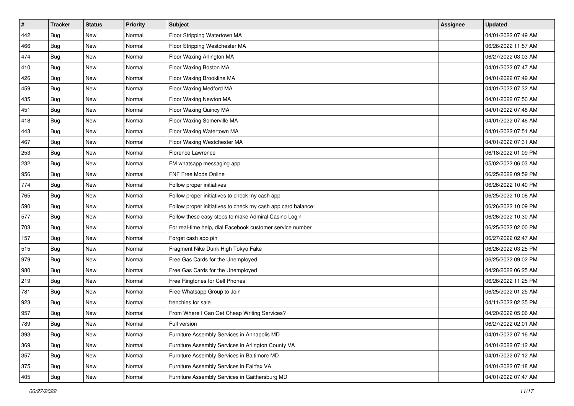| #   | <b>Tracker</b> | <b>Status</b> | <b>Priority</b> | <b>Subject</b>                                               | <b>Assignee</b> | <b>Updated</b>      |
|-----|----------------|---------------|-----------------|--------------------------------------------------------------|-----------------|---------------------|
| 442 | Bug            | New           | Normal          | Floor Stripping Watertown MA                                 |                 | 04/01/2022 07:49 AM |
| 466 | Bug            | <b>New</b>    | Normal          | Floor Stripping Westchester MA                               |                 | 06/26/2022 11:57 AM |
| 474 | Bug            | New           | Normal          | Floor Waxing Arlington MA                                    |                 | 06/27/2022 03:03 AM |
| 410 | Bug            | New           | Normal          | Floor Waxing Boston MA                                       |                 | 04/01/2022 07:47 AM |
| 426 | Bug            | New           | Normal          | Floor Waxing Brookline MA                                    |                 | 04/01/2022 07:49 AM |
| 459 | Bug            | New           | Normal          | Floor Waxing Medford MA                                      |                 | 04/01/2022 07:32 AM |
| 435 | Bug            | New           | Normal          | Floor Waxing Newton MA                                       |                 | 04/01/2022 07:50 AM |
| 451 | Bug            | New           | Normal          | Floor Waxing Quincy MA                                       |                 | 04/01/2022 07:48 AM |
| 418 | Bug            | New           | Normal          | Floor Waxing Somerville MA                                   |                 | 04/01/2022 07:46 AM |
| 443 | Bug            | <b>New</b>    | Normal          | Floor Waxing Watertown MA                                    |                 | 04/01/2022 07:51 AM |
| 467 | Bug            | New           | Normal          | Floor Waxing Westchester MA                                  |                 | 04/01/2022 07:31 AM |
| 253 | Bug            | New           | Normal          | Florence Lawrence                                            |                 | 06/18/2022 01:09 PM |
| 232 | Bug            | New           | Normal          | FM whatsapp messaging app.                                   |                 | 05/02/2022 06:03 AM |
| 956 | Bug            | <b>New</b>    | Normal          | FNF Free Mods Online                                         |                 | 06/25/2022 09:59 PM |
| 774 | <b>Bug</b>     | New           | Normal          | Follow proper initiatives                                    |                 | 06/26/2022 10:40 PM |
| 765 | Bug            | New           | Normal          | Follow proper initiatives to check my cash app               |                 | 06/25/2022 10:08 AM |
| 590 | Bug            | New           | Normal          | Follow proper initiatives to check my cash app card balance: |                 | 06/26/2022 10:09 PM |
| 577 | Bug            | New           | Normal          | Follow these easy steps to make Admiral Casino Login         |                 | 06/26/2022 10:30 AM |
| 703 | Bug            | New           | Normal          | For real-time help, dial Facebook customer service number    |                 | 06/25/2022 02:00 PM |
| 157 | <b>Bug</b>     | New           | Normal          | Forget cash app pin                                          |                 | 06/27/2022 02:47 AM |
| 515 | Bug            | New           | Normal          | Fragment Nike Dunk High Tokyo Fake                           |                 | 06/26/2022 03:25 PM |
| 979 | Bug            | New           | Normal          | Free Gas Cards for the Unemployed                            |                 | 06/25/2022 09:02 PM |
| 980 | Bug            | New           | Normal          | Free Gas Cards for the Unemployed                            |                 | 04/28/2022 06:25 AM |
| 219 | Bug            | New           | Normal          | Free Ringtones for Cell Phones.                              |                 | 06/26/2022 11:25 PM |
| 781 | Bug            | New           | Normal          | Free Whatsapp Group to Join                                  |                 | 06/25/2022 01:25 AM |
| 923 | Bug            | New           | Normal          | frenchies for sale                                           |                 | 04/11/2022 02:35 PM |
| 957 | Bug            | New           | Normal          | From Where I Can Get Cheap Writing Services?                 |                 | 04/20/2022 05:06 AM |
| 789 | <b>Bug</b>     | New           | Normal          | Full version                                                 |                 | 06/27/2022 02:01 AM |
| 393 | Bug            | New           | Normal          | Furniture Assembly Services in Annapolis MD                  |                 | 04/01/2022 07:16 AM |
| 369 | Bug            | New           | Normal          | Furniture Assembly Services in Arlington County VA           |                 | 04/01/2022 07:12 AM |
| 357 | Bug            | New           | Normal          | Furniture Assembly Services in Baltimore MD                  |                 | 04/01/2022 07:12 AM |
| 375 | <b>Bug</b>     | New           | Normal          | Furniture Assembly Services in Fairfax VA                    |                 | 04/01/2022 07:18 AM |
| 405 | Bug            | New           | Normal          | Furniture Assembly Services in Gaithersburg MD               |                 | 04/01/2022 07:47 AM |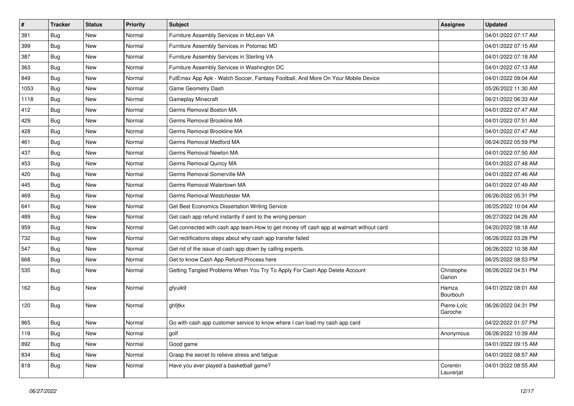| $\pmb{\#}$ | <b>Tracker</b> | <b>Status</b> | <b>Priority</b> | Subject                                                                                | <b>Assignee</b>        | <b>Updated</b>      |
|------------|----------------|---------------|-----------------|----------------------------------------------------------------------------------------|------------------------|---------------------|
| 381        | <b>Bug</b>     | New           | Normal          | Furniture Assembly Services in McLean VA                                               |                        | 04/01/2022 07:17 AM |
| 399        | Bug            | <b>New</b>    | Normal          | Furniture Assembly Services in Potomac MD                                              |                        | 04/01/2022 07:15 AM |
| 387        | Bug            | New           | Normal          | Furniture Assembly Services in Sterling VA                                             |                        | 04/01/2022 07:18 AM |
| 363        | <b>Bug</b>     | New           | Normal          | Furniture Assembly Services in Washington DC                                           |                        | 04/01/2022 07:13 AM |
| 849        | Bug            | <b>New</b>    | Normal          | FutEmax App Apk - Watch Soccer, Fantasy Football, And More On Your Mobile Device       |                        | 04/01/2022 09:04 AM |
| 1053       | <b>Bug</b>     | New           | Normal          | Game Geometry Dash                                                                     |                        | 05/26/2022 11:30 AM |
| 1118       | Bug            | New           | Normal          | Gameplay Minecraft                                                                     |                        | 06/21/2022 06:33 AM |
| 412        | <b>Bug</b>     | New           | Normal          | Germs Removal Boston MA                                                                |                        | 04/01/2022 07:47 AM |
| 429        | <b>Bug</b>     | New           | Normal          | Germs Removal Brookline MA                                                             |                        | 04/01/2022 07:51 AM |
| 428        | Bug            | <b>New</b>    | Normal          | Germs Removal Brookline MA                                                             |                        | 04/01/2022 07:47 AM |
| 461        | <b>Bug</b>     | New           | Normal          | Germs Removal Medford MA                                                               |                        | 06/24/2022 05:59 PM |
| 437        | <b>Bug</b>     | New           | Normal          | Germs Removal Newton MA                                                                |                        | 04/01/2022 07:50 AM |
| 453        | Bug            | New           | Normal          | Germs Removal Quincy MA                                                                |                        | 04/01/2022 07:48 AM |
| 420        | <b>Bug</b>     | New           | Normal          | Germs Removal Somerville MA                                                            |                        | 04/01/2022 07:46 AM |
| 445        | <b>Bug</b>     | <b>New</b>    | Normal          | Germs Removal Watertown MA                                                             |                        | 04/01/2022 07:49 AM |
| 469        | <b>Bug</b>     | New           | Normal          | Germs Removal Westchester MA                                                           |                        | 06/26/2022 05:31 PM |
| 641        | <b>Bug</b>     | New           | Normal          | Get Best Economics Dissertation Writing Service                                        |                        | 06/25/2022 10:04 AM |
| 489        | <b>Bug</b>     | New           | Normal          | Get cash app refund instantly if sent to the wrong person                              |                        | 06/27/2022 04:26 AM |
| 959        | <b>Bug</b>     | New           | Normal          | Get connected with cash app team-How to get money off cash app at walmart without card |                        | 04/20/2022 08:18 AM |
| 732        | Bug            | <b>New</b>    | Normal          | Get rectifications steps about why cash app transfer failed                            |                        | 06/26/2022 03:28 PM |
| 547        | Bug            | New           | Normal          | Get rid of the issue of cash app down by calling experts.                              |                        | 06/26/2022 10:38 AM |
| 668        | <b>Bug</b>     | New           | Normal          | Get to know Cash App Refund Process here                                               |                        | 06/25/2022 08:53 PM |
| 535        | Bug            | <b>New</b>    | Normal          | Getting Tangled Problems When You Try To Apply For Cash App Delete Account             | Christophe<br>Garion   | 06/26/2022 04:51 PM |
| 162        | Bug            | <b>New</b>    | Normal          | gfyuik9                                                                                | Hamza<br>Bourbouh      | 04/01/2022 08:01 AM |
| 120        | Bug            | <b>New</b>    | Normal          | ghfjtkx                                                                                | Pierre-Loïc<br>Garoche | 06/26/2022 04:31 PM |
| 965        | Bug            | New           | Normal          | Go with cash app customer service to know where I can load my cash app card            |                        | 04/22/2022 01:07 PM |
| 118        | Bug            | New           | Normal          | golf                                                                                   | Anonymous              | 06/26/2022 10:39 AM |
| 892        | Bug            | New           | Normal          | Good game                                                                              |                        | 04/01/2022 09:15 AM |
| 834        | Bug            | New           | Normal          | Grasp the secret to relieve stress and fatigue                                         |                        | 04/01/2022 08:57 AM |
| 818        | <b>Bug</b>     | New           | Normal          | Have you ever played a basketball game?                                                | Corentin<br>Lauverjat  | 04/01/2022 08:55 AM |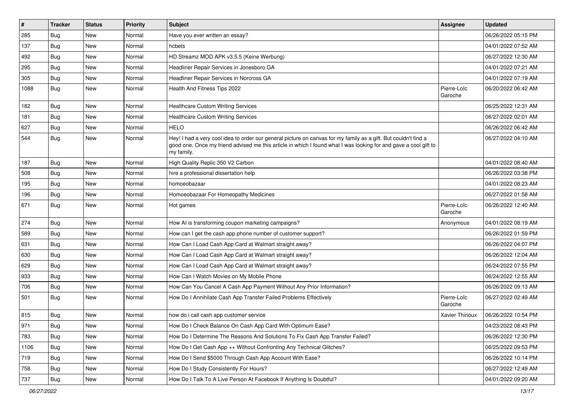| #    | <b>Tracker</b> | <b>Status</b> | <b>Priority</b> | <b>Subject</b>                                                                                                                                                                                                                                    | <b>Assignee</b>        | <b>Updated</b>      |
|------|----------------|---------------|-----------------|---------------------------------------------------------------------------------------------------------------------------------------------------------------------------------------------------------------------------------------------------|------------------------|---------------------|
| 285  | Bug            | <b>New</b>    | Normal          | Have you ever written an essay?                                                                                                                                                                                                                   |                        | 06/26/2022 05:15 PM |
| 137  | Bug            | <b>New</b>    | Normal          | hcbets                                                                                                                                                                                                                                            |                        | 04/01/2022 07:52 AM |
| 492  | Bug            | New           | Normal          | HD Streamz MOD APK v3.5.5 (Keine Werbung)                                                                                                                                                                                                         |                        | 06/27/2022 12:30 AM |
| 295  | Bug            | New           | Normal          | Headliner Repair Services in Jonesboro GA                                                                                                                                                                                                         |                        | 04/01/2022 07:21 AM |
| 305  | Bug            | <b>New</b>    | Normal          | Headliner Repair Services in Norcross GA                                                                                                                                                                                                          |                        | 04/01/2022 07:19 AM |
| 1088 | Bug            | <b>New</b>    | Normal          | Health And Fitness Tips 2022                                                                                                                                                                                                                      | Pierre-Loïc<br>Garoche | 06/20/2022 06:42 AM |
| 182  | Bug            | New           | Normal          | <b>Healthcare Custom Writing Services</b>                                                                                                                                                                                                         |                        | 06/25/2022 12:31 AM |
| 181  | Bug            | <b>New</b>    | Normal          | <b>Healthcare Custom Writing Services</b>                                                                                                                                                                                                         |                        | 06/27/2022 02:01 AM |
| 627  | Bug            | <b>New</b>    | Normal          | <b>HELO</b>                                                                                                                                                                                                                                       |                        | 06/26/2022 06:42 AM |
| 544  | Bug            | <b>New</b>    | Normal          | Hey! I had a very cool idea to order our general picture on canvas for my family as a gift. But couldn't find a<br>good one. Once my friend advised me this article in which I found what I was looking for and gave a cool gift to<br>my family. |                        | 06/27/2022 04:10 AM |
| 187  | Bug            | <b>New</b>    | Normal          | High Quality Replic 350 V2 Carbon                                                                                                                                                                                                                 |                        | 04/01/2022 08:40 AM |
| 508  | Bug            | New           | Normal          | hire a professional dissertation help                                                                                                                                                                                                             |                        | 06/26/2022 03:38 PM |
| 195  | Bug            | New           | Normal          | homoeobazaar                                                                                                                                                                                                                                      |                        | 04/01/2022 08:23 AM |
| 196  | Bug            | <b>New</b>    | Normal          | Homoeobazaar For Homeopathy Medicines                                                                                                                                                                                                             |                        | 06/27/2022 01:58 AM |
| 671  | Bug            | <b>New</b>    | Normal          | Hot games                                                                                                                                                                                                                                         | Pierre-Loïc<br>Garoche | 06/26/2022 12:40 AM |
| 274  | Bug            | <b>New</b>    | Normal          | How AI is transforming coupon marketing campaigns?                                                                                                                                                                                                | Anonymous              | 04/01/2022 08:19 AM |
| 589  | Bug            | <b>New</b>    | Normal          | How can I get the cash app phone number of customer support?                                                                                                                                                                                      |                        | 06/26/2022 01:59 PM |
| 631  | Bug            | New           | Normal          | How Can I Load Cash App Card at Walmart straight away?                                                                                                                                                                                            |                        | 06/26/2022 04:07 PM |
| 630  | Bug            | New           | Normal          | How Can I Load Cash App Card at Walmart straight away?                                                                                                                                                                                            |                        | 06/26/2022 12:04 AM |
| 629  | <b>Bug</b>     | New           | Normal          | How Can I Load Cash App Card at Walmart straight away?                                                                                                                                                                                            |                        | 06/24/2022 07:55 PM |
| 933  | Bug            | New           | Normal          | How Can I Watch Movies on My Mobile Phone                                                                                                                                                                                                         |                        | 06/24/2022 12:55 AM |
| 706  | Bug            | New           | Normal          | How Can You Cancel A Cash App Payment Without Any Prior Information?                                                                                                                                                                              |                        | 06/26/2022 09:13 AM |
| 501  | <b>Bug</b>     | New           | Normal          | How Do I Annihilate Cash App Transfer Failed Problems Effectively                                                                                                                                                                                 | Pierre-Loïc<br>Garoche | 06/27/2022 02:49 AM |
| 815  | Bug            | <b>New</b>    | Normal          | how do i call cash app customer service                                                                                                                                                                                                           | Xavier Thirioux        | 06/26/2022 10:54 PM |
| 971  | Bug            | New           | Normal          | How Do I Check Balance On Cash App Card With Optimum Ease?                                                                                                                                                                                        |                        | 04/23/2022 08:43 PM |
| 783  | Bug            | New           | Normal          | How Do I Determine The Reasons And Solutions To Fix Cash App Transfer Failed?                                                                                                                                                                     |                        | 06/26/2022 12:30 PM |
| 1106 | Bug            | New           | Normal          | How Do I Get Cash App ++ Without Confronting Any Technical Glitches?                                                                                                                                                                              |                        | 06/25/2022 09:53 PM |
| 719  | Bug            | New           | Normal          | How Do I Send \$5000 Through Cash App Account With Ease?                                                                                                                                                                                          |                        | 06/26/2022 10:14 PM |
| 758  | Bug            | New           | Normal          | How Do I Study Consistently For Hours?                                                                                                                                                                                                            |                        | 06/27/2022 12:49 AM |
| 737  | <b>Bug</b>     | New           | Normal          | How Do I Talk To A Live Person At Facebook If Anything Is Doubtful?                                                                                                                                                                               |                        | 04/01/2022 09:20 AM |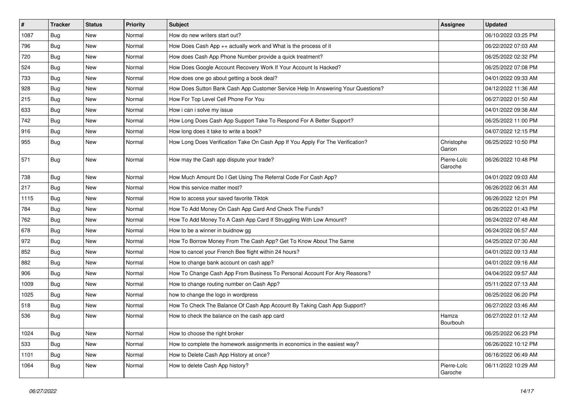| $\vert$ # | <b>Tracker</b> | <b>Status</b> | Priority | <b>Subject</b>                                                                   | <b>Assignee</b>        | <b>Updated</b>      |
|-----------|----------------|---------------|----------|----------------------------------------------------------------------------------|------------------------|---------------------|
| 1087      | Bug            | New           | Normal   | How do new writers start out?                                                    |                        | 06/10/2022 03:25 PM |
| 796       | Bug            | <b>New</b>    | Normal   | How Does Cash App ++ actually work and What is the process of it                 |                        | 06/22/2022 07:03 AM |
| 720       | Bug            | New           | Normal   | How does Cash App Phone Number provide a quick treatment?                        |                        | 06/25/2022 02:32 PM |
| 524       | Bug            | New           | Normal   | How Does Google Account Recovery Work If Your Account Is Hacked?                 |                        | 06/25/2022 07:08 PM |
| 733       | Bug            | <b>New</b>    | Normal   | How does one go about getting a book deal?                                       |                        | 04/01/2022 09:33 AM |
| 928       | Bug            | New           | Normal   | How Does Sutton Bank Cash App Customer Service Help In Answering Your Questions? |                        | 04/12/2022 11:36 AM |
| 215       | Bug            | <b>New</b>    | Normal   | How For Top Level Cell Phone For You                                             |                        | 06/27/2022 01:50 AM |
| 633       | Bug            | New           | Normal   | How i can i solve my issue                                                       |                        | 04/01/2022 09:38 AM |
| 742       | Bug            | <b>New</b>    | Normal   | How Long Does Cash App Support Take To Respond For A Better Support?             |                        | 06/25/2022 11:00 PM |
| 916       | Bug            | <b>New</b>    | Normal   | How long does it take to write a book?                                           |                        | 04/07/2022 12:15 PM |
| 955       | Bug            | New           | Normal   | How Long Does Verification Take On Cash App If You Apply For The Verification?   | Christophe<br>Garion   | 06/25/2022 10:50 PM |
| 571       | Bug            | New           | Normal   | How may the Cash app dispute your trade?                                         | Pierre-Loïc<br>Garoche | 06/26/2022 10:48 PM |
| 738       | Bug            | <b>New</b>    | Normal   | How Much Amount Do I Get Using The Referral Code For Cash App?                   |                        | 04/01/2022 09:03 AM |
| 217       | Bug            | New           | Normal   | How this service matter most?                                                    |                        | 06/26/2022 06:31 AM |
| 1115      | Bug            | <b>New</b>    | Normal   | How to access your saved favorite Tiktok                                         |                        | 06/26/2022 12:01 PM |
| 784       | Bug            | <b>New</b>    | Normal   | How To Add Money On Cash App Card And Check The Funds?                           |                        | 06/26/2022 01:43 PM |
| 762       | Bug            | New           | Normal   | How To Add Money To A Cash App Card If Struggling With Low Amount?               |                        | 06/24/2022 07:48 AM |
| 678       | Bug            | <b>New</b>    | Normal   | How to be a winner in buidnow gg                                                 |                        | 06/24/2022 06:57 AM |
| 972       | Bug            | <b>New</b>    | Normal   | How To Borrow Money From The Cash App? Get To Know About The Same                |                        | 04/25/2022 07:30 AM |
| 852       | Bug            | <b>New</b>    | Normal   | How to cancel your French Bee flight within 24 hours?                            |                        | 04/01/2022 09:13 AM |
| 882       | Bug            | <b>New</b>    | Normal   | How to change bank account on cash app?                                          |                        | 04/01/2022 09:16 AM |
| 906       | Bug            | New           | Normal   | How To Change Cash App From Business To Personal Account For Any Reasons?        |                        | 04/04/2022 09:57 AM |
| 1009      | Bug            | New           | Normal   | How to change routing number on Cash App?                                        |                        | 05/11/2022 07:13 AM |
| 1025      | Bug            | <b>New</b>    | Normal   | how to change the logo in wordpress                                              |                        | 06/25/2022 06:20 PM |
| 518       | Bug            | <b>New</b>    | Normal   | How To Check The Balance Of Cash App Account By Taking Cash App Support?         |                        | 06/27/2022 03:46 AM |
| 536       | Bug            | <b>New</b>    | Normal   | How to check the balance on the cash app card                                    | Hamza<br>Bourbouh      | 06/27/2022 01:12 AM |
| 1024      | Bug            | New           | Normal   | How to choose the right broker                                                   |                        | 06/25/2022 06:23 PM |
| 533       | Bug            | New           | Normal   | How to complete the homework assignments in economics in the easiest way?        |                        | 06/26/2022 10:12 PM |
| 1101      | Bug            | New           | Normal   | How to Delete Cash App History at once?                                          |                        | 06/16/2022 06:49 AM |
| 1064      | Bug            | New           | Normal   | How to delete Cash App history?                                                  | Pierre-Loïc<br>Garoche | 06/11/2022 10:29 AM |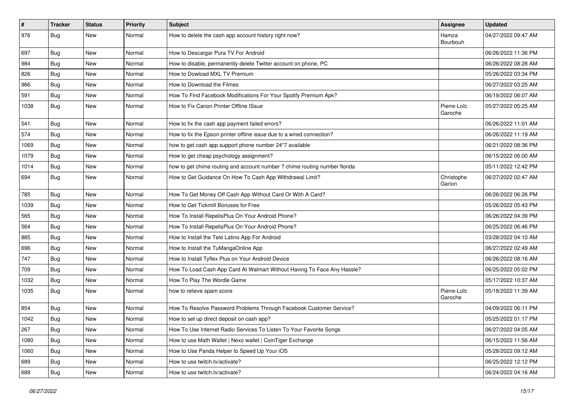| $\vert$ # | <b>Tracker</b> | <b>Status</b> | <b>Priority</b> | <b>Subject</b>                                                             | Assignee               | <b>Updated</b>      |
|-----------|----------------|---------------|-----------------|----------------------------------------------------------------------------|------------------------|---------------------|
| 976       | Bug            | <b>New</b>    | Normal          | How to delete the cash app account history right now?                      | Hamza<br>Bourbouh      | 04/27/2022 09:47 AM |
| 697       | Bug            | <b>New</b>    | Normal          | How to Descargar Pura TV For Android                                       |                        | 06/26/2022 11:36 PM |
| 984       | Bug            | <b>New</b>    | Normal          | How to disable, permanently delete Twitter account on phone, PC            |                        | 06/26/2022 08:28 AM |
| 826       | Bug            | New           | Normal          | How to Dowload MXL TV Premium                                              |                        | 05/26/2022 03:34 PM |
| 966       | Bug            | <b>New</b>    | Normal          | How to Download the Filmes                                                 |                        | 06/27/2022 03:25 AM |
| 591       | Bug            | <b>New</b>    | Normal          | How To Find Facebook Modifications For Your Spotify Premium Apk?           |                        | 06/19/2022 06:07 AM |
| 1038      | Bug            | <b>New</b>    | Normal          | How to Fix Canon Printer Offline ISsue                                     | Pierre-Loïc<br>Garoche | 05/27/2022 05:25 AM |
| 541       | Bug            | <b>New</b>    | Normal          | How to fix the cash app payment failed errors?                             |                        | 06/26/2022 11:01 AM |
| 574       | Bug            | <b>New</b>    | Normal          | How to fix the Epson printer offline issue due to a wired connection?      |                        | 06/26/2022 11:19 AM |
| 1069      | Bug            | <b>New</b>    | Normal          | how to get cash app support phone number 24*7 available                    |                        | 06/21/2022 08:36 PM |
| 1079      | Bug            | <b>New</b>    | Normal          | How to get cheap psychology assignment?                                    |                        | 06/15/2022 06:00 AM |
| 1014      | Bug            | <b>New</b>    | Normal          | how to get chime routing and account number ? chime routing number florida |                        | 05/11/2022 12:42 PM |
| 694       | Bug            | <b>New</b>    | Normal          | How to Get Guidance On How To Cash App Withdrawal Limit?                   | Christophe<br>Garion   | 06/27/2022 02:47 AM |
| 785       | Bug            | <b>New</b>    | Normal          | How To Get Money Off Cash App Without Card Or With A Card?                 |                        | 06/26/2022 06:26 PM |
| 1039      | Bug            | <b>New</b>    | Normal          | How to Get Tickmill Bonuses for Free                                       |                        | 05/26/2022 05:43 PM |
| 565       | Bug            | <b>New</b>    | Normal          | How To Install RepelisPlus On Your Android Phone?                          |                        | 06/26/2022 04:39 PM |
| 564       | Bug            | <b>New</b>    | Normal          | How To Install RepelisPlus On Your Android Phone?                          |                        | 06/25/2022 06:46 PM |
| 885       | Bug            | <b>New</b>    | Normal          | How to Install the Tele Latino App For Android                             |                        | 03/28/2022 04:10 AM |
| 696       | Bug            | <b>New</b>    | Normal          | How to Install the TuMangaOnline App                                       |                        | 06/27/2022 02:49 AM |
| 747       | Bug            | <b>New</b>    | Normal          | How to Install Tyflex Plus on Your Android Device                          |                        | 06/26/2022 08:16 AM |
| 709       | Bug            | <b>New</b>    | Normal          | How To Load Cash App Card At Walmart Without Having To Face Any Hassle?    |                        | 06/25/2022 05:02 PM |
| 1032      | Bug            | <b>New</b>    | Normal          | How To Play The Wordle Game                                                |                        | 05/17/2022 10:37 AM |
| 1035      | Bug            | <b>New</b>    | Normal          | how to relieve spam score                                                  | Pierre-Loïc<br>Garoche | 05/18/2022 11:39 AM |
| 854       | Bug            | <b>New</b>    | Normal          | How To Resolve Password Problems Through Facebook Customer Service?        |                        | 04/09/2022 06:11 PM |
| 1042      | <b>Bug</b>     | New           | Normal          | How to set up direct deposit on cash app?                                  |                        | 05/25/2022 01:17 PM |
| 267       | Bug            | New           | Normal          | How To Use Internet Radio Services To Listen To Your Favorite Songs        |                        | 06/27/2022 04:05 AM |
| 1080      | Bug            | New           | Normal          | How to use Math Wallet   Nexo wallet   CoinTiger Exchange                  |                        | 06/15/2022 11:56 AM |
| 1060      | Bug            | New           | Normal          | How to Use Panda Helper to Speed Up Your iOS                               |                        | 05/28/2022 09:12 AM |
| 689       | Bug            | New           | Normal          | How to use twitch.tv/activate?                                             |                        | 06/25/2022 12:12 PM |
| 688       | <b>Bug</b>     | New           | Normal          | How to use twitch.tv/activate?                                             |                        | 06/24/2022 04:16 AM |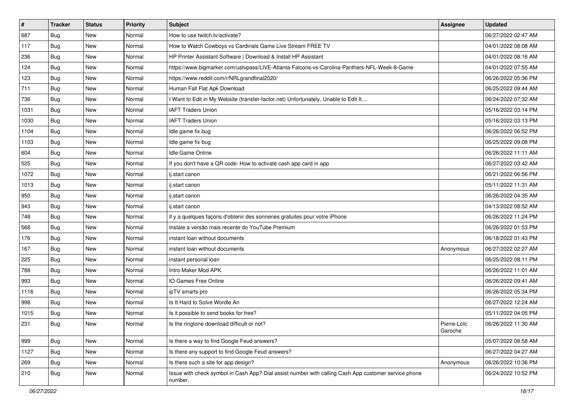| $\vert$ # | <b>Tracker</b> | <b>Status</b> | <b>Priority</b> | <b>Subject</b>                                                                                                  | Assignee               | <b>Updated</b>      |
|-----------|----------------|---------------|-----------------|-----------------------------------------------------------------------------------------------------------------|------------------------|---------------------|
| 687       | Bug            | New           | Normal          | How to use twitch.tv/activate?                                                                                  |                        | 06/27/2022 02:47 AM |
| 117       | Bug            | <b>New</b>    | Normal          | How to Watch Cowboys vs Cardinals Game Live Stream FREE TV                                                      |                        | 04/01/2022 08:08 AM |
| 236       | Bug            | New           | Normal          | HP Printer Assistant Software   Download & Install HP Assistant                                                 |                        | 04/01/2022 08:16 AM |
| 124       | Bug            | <b>New</b>    | Normal          | https://www.bigmarker.com/ustvpass/LIVE-Atlanta-Falcons-vs-Carolina-Panthers-NFL-Week-8-Game                    |                        | 04/01/2022 07:55 AM |
| 123       | Bug            | <b>New</b>    | Normal          | https://www.reddit.com/r/NRLgrandfinal2020/                                                                     |                        | 06/26/2022 05:36 PM |
| 711       | Bug            | New           | Normal          | Human Fall Flat Apk Download                                                                                    |                        | 06/25/2022 09:44 AM |
| 736       | Bug            | <b>New</b>    | Normal          | I Want to Edit in My Website (transfer-factor.net) Unfortunately, Unable to Edit It                             |                        | 06/24/2022 07:32 AM |
| 1031      | Bug            | <b>New</b>    | Normal          | <b>IAFT Traders Union</b>                                                                                       |                        | 05/16/2022 03:14 PM |
| 1030      | Bug            | <b>New</b>    | Normal          | <b>IAFT Traders Union</b>                                                                                       |                        | 05/16/2022 03:13 PM |
| 1104      | Bug            | <b>New</b>    | Normal          | Idle game fix bug                                                                                               |                        | 06/26/2022 06:52 PM |
| 1103      | Bug            | <b>New</b>    | Normal          | Idle game fix bug                                                                                               |                        | 06/25/2022 09:08 PM |
| 604       | Bug            | New           | Normal          | Idle Game Online                                                                                                |                        | 06/26/2022 11:11 AM |
| 525       | Bug            | <b>New</b>    | Normal          | If you don't have a QR code: How to activate cash app card in app                                               |                        | 06/27/2022 03:42 AM |
| 1072      | Bug            | <b>New</b>    | Normal          | ij.start canon                                                                                                  |                        | 06/21/2022 06:56 PM |
| 1013      | Bug            | <b>New</b>    | Normal          | ij.start canon                                                                                                  |                        | 05/11/2022 11:31 AM |
| 950       | Bug            | <b>New</b>    | Normal          | ij.start canon                                                                                                  |                        | 06/26/2022 04:35 AM |
| 943       | Bug            | <b>New</b>    | Normal          | ij.start canon                                                                                                  |                        | 04/13/2022 08:52 AM |
| 748       | Bug            | <b>New</b>    | Normal          | Il y a quelques façons d'obtenir des sonneries gratuites pour votre iPhone                                      |                        | 06/26/2022 11:24 PM |
| 568       | Bug            | New           | Normal          | Instale a versão mais recente do YouTube Premium                                                                |                        | 06/26/2022 01:53 PM |
| 176       | Bug            | <b>New</b>    | Normal          | instant loan without documents                                                                                  |                        | 06/18/2022 01:43 PM |
| 167       | <b>Bug</b>     | New           | Normal          | instant loan without documents                                                                                  | Anonymous              | 06/27/2022 02:27 AM |
| 225       | Bug            | <b>New</b>    | Normal          | instant personal loan                                                                                           |                        | 06/25/2022 08:11 PM |
| 788       | Bug            | <b>New</b>    | Normal          | Intro Maker Mod APK                                                                                             |                        | 06/26/2022 11:01 AM |
| 993       | Bug            | New           | Normal          | IO Games Free Online                                                                                            |                        | 06/26/2022 09:41 AM |
| 1116      | Bug            | New           | Normal          | ipTV smarts pro                                                                                                 |                        | 06/26/2022 05:34 PM |
| 998       | Bug            | <b>New</b>    | Normal          | Is It Hard to Solve Wordle An                                                                                   |                        | 06/27/2022 12:24 AM |
| 1015      | <b>Bug</b>     | New           | Normal          | Is it possible to send books for free?                                                                          |                        | 05/11/2022 04:05 PM |
| 231       | <b>Bug</b>     | New           | Normal          | Is the ringtone download difficult or not?                                                                      | Pierre-Loïc<br>Garoche | 06/26/2022 11:30 AM |
| 999       | Bug            | New           | Normal          | Is there a way to find Google Feud answers?                                                                     |                        | 05/07/2022 08:58 AM |
| 1127      | Bug            | New           | Normal          | Is there any support to find Google Feud answers?                                                               |                        | 06/27/2022 04:27 AM |
| 269       | <b>Bug</b>     | New           | Normal          | Is there such a site for app design?                                                                            | Anonymous              | 06/26/2022 10:36 PM |
| 210       | Bug            | New           | Normal          | Issue with check symbol in Cash App? Dial assist number with calling Cash App customer service phone<br>number. |                        | 06/24/2022 10:52 PM |